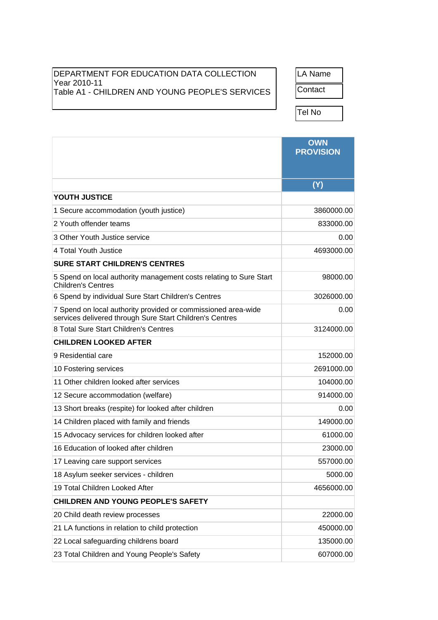## DEPARTMENT FOR EDUCATION DATA COLLECTION Year 2010-11 Table A1 - CHILDREN AND YOUNG PEOPLE'S SERVICES | Contact

LA Name

Tel No

|                                                                                                                           | <b>OWN</b><br><b>PROVISION</b> |
|---------------------------------------------------------------------------------------------------------------------------|--------------------------------|
|                                                                                                                           | $\overline{\text{(Y)}}$        |
| YOUTH JUSTICE                                                                                                             |                                |
| 1 Secure accommodation (youth justice)                                                                                    | 3860000.00                     |
| 2 Youth offender teams                                                                                                    | 833000.00                      |
| 3 Other Youth Justice service                                                                                             | 0.00                           |
| 4 Total Youth Justice                                                                                                     | 4693000.00                     |
| <b>SURE START CHILDREN'S CENTRES</b>                                                                                      |                                |
| 5 Spend on local authority management costs relating to Sure Start<br><b>Children's Centres</b>                           | 98000.00                       |
| 6 Spend by individual Sure Start Children's Centres                                                                       | 3026000.00                     |
| 7 Spend on local authority provided or commissioned area-wide<br>services delivered through Sure Start Children's Centres | 0.00                           |
| 8 Total Sure Start Children's Centres                                                                                     | 3124000.00                     |
| <b>CHILDREN LOOKED AFTER</b>                                                                                              |                                |
| 9 Residential care                                                                                                        | 152000.00                      |
| 10 Fostering services                                                                                                     | 2691000.00                     |
| 11 Other children looked after services                                                                                   | 104000.00                      |
| 12 Secure accommodation (welfare)                                                                                         | 914000.00                      |
| 13 Short breaks (respite) for looked after children                                                                       | 0.00                           |
| 14 Children placed with family and friends                                                                                | 149000.00                      |
| 15 Advocacy services for children looked after                                                                            | 61000.00                       |
| 16 Education of looked after children                                                                                     | 23000.00                       |
| 17 Leaving care support services                                                                                          | 557000.00                      |
| 18 Asylum seeker services - children                                                                                      | 5000.00                        |
| 19 Total Children Looked After                                                                                            | 4656000.00                     |
| <b>CHILDREN AND YOUNG PEOPLE'S SAFETY</b>                                                                                 |                                |
| 20 Child death review processes                                                                                           | 22000.00                       |
| 21 LA functions in relation to child protection                                                                           | 450000.00                      |
| 22 Local safeguarding childrens board                                                                                     | 135000.00                      |
| 23 Total Children and Young People's Safety                                                                               | 607000.00                      |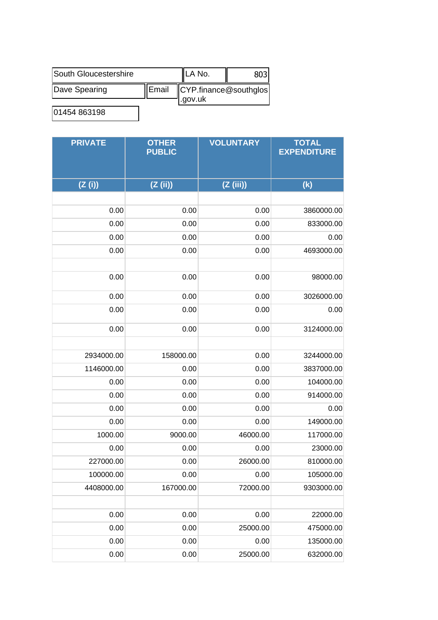| South Gloucestershire |                | <b>ILA No.</b>                    |  |
|-----------------------|----------------|-----------------------------------|--|
| Dave Spearing         | <b>I</b> Email | $\mathsf{CYP}$ .finance@southglos |  |
| $\overline{A}$        |                | .gov.uk                           |  |

01454 863198

| <b>PRIVATE</b> | <b>OTHER</b><br><b>PUBLIC</b> | <b>VOLUNTARY</b> | <b>TOTAL</b><br><b>EXPENDITURE</b> |
|----------------|-------------------------------|------------------|------------------------------------|
| (Z(i))         | (Z (ii))                      | (Z(iii))         | (k)                                |
|                |                               |                  |                                    |
| 0.00           | 0.00                          | 0.00             | 3860000.00                         |
| 0.00           | 0.00                          | 0.00             | 833000.00                          |
| 0.00           | 0.00                          | 0.00             | 0.00                               |
| 0.00           | 0.00                          | 0.00             | 4693000.00                         |
|                |                               |                  |                                    |
| 0.00           | 0.00                          | 0.00             | 98000.00                           |
| 0.00           | 0.00                          | 0.00             | 3026000.00                         |
| 0.00           | 0.00                          | 0.00             | 0.00                               |
| 0.00           | 0.00                          | 0.00             | 3124000.00                         |
|                |                               |                  |                                    |
| 2934000.00     | 158000.00                     | 0.00             | 3244000.00                         |
| 1146000.00     | 0.00                          | 0.00             | 3837000.00                         |
| 0.00           | 0.00                          | 0.00             | 104000.00                          |
| 0.00           | 0.00                          | 0.00             | 914000.00                          |
| 0.00           | 0.00                          | 0.00             | 0.00                               |
| 0.00           | 0.00                          | 0.00             | 149000.00                          |
| 1000.00        | 9000.00                       | 46000.00         | 117000.00                          |
| 0.00           | 0.00                          | 0.00             | 23000.00                           |
| 227000.00      | 0.00                          | 26000.00         | 810000.00                          |
| 100000.00      | 0.00                          | 0.00             | 105000.00                          |
| 4408000.00     | 167000.00                     | 72000.00         | 9303000.00                         |
|                |                               |                  |                                    |
| 0.00           | 0.00                          | 0.00             | 22000.00                           |
| 0.00           | 0.00                          | 25000.00         | 475000.00                          |
| 0.00           | 0.00                          | 0.00             | 135000.00                          |
| 0.00           | 0.00                          | 25000.00         | 632000.00                          |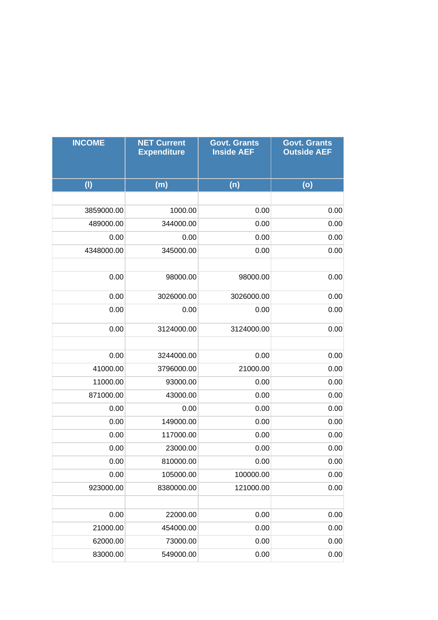| <b>INCOME</b> | <b>NET Current</b><br><b>Expenditure</b> | <b>Govt. Grants</b><br><b>Inside AEF</b> | <b>Govt. Grants</b><br><b>Outside AEF</b> |
|---------------|------------------------------------------|------------------------------------------|-------------------------------------------|
| (1)           | (m)                                      | (n)                                      | (o)                                       |
|               |                                          |                                          |                                           |
| 3859000.00    | 1000.00                                  | 0.00                                     | 0.00                                      |
| 489000.00     | 344000.00                                | 0.00                                     | 0.00                                      |
| 0.00          | 0.00                                     | 0.00                                     | 0.00                                      |
| 4348000.00    | 345000.00                                | 0.00                                     | 0.00                                      |
|               |                                          |                                          |                                           |
| 0.00          | 98000.00                                 | 98000.00                                 | 0.00                                      |
| 0.00          | 3026000.00                               | 3026000.00                               | 0.00                                      |
| 0.00          | 0.00                                     | 0.00                                     | 0.00                                      |
| 0.00          | 3124000.00                               | 3124000.00                               | 0.00                                      |
|               |                                          |                                          |                                           |
| 0.00          | 3244000.00                               | 0.00                                     | 0.00                                      |
| 41000.00      | 3796000.00                               | 21000.00                                 | 0.00                                      |
| 11000.00      | 93000.00                                 | 0.00                                     | 0.00                                      |
| 871000.00     | 43000.00                                 | 0.00                                     | 0.00                                      |
| 0.00          | 0.00                                     | 0.00                                     | 0.00                                      |
| 0.00          | 149000.00                                | 0.00                                     | 0.00                                      |
| 0.00          | 117000.00                                | 0.00                                     | 0.00                                      |
| 0.00          | 23000.00                                 | 0.00                                     | 0.00                                      |
| 0.00          | 810000.00                                | 0.00                                     | 0.00                                      |
| 0.00          | 105000.00                                | 100000.00                                | 0.00                                      |
| 923000.00     | 8380000.00                               | 121000.00                                | 0.00                                      |
|               |                                          |                                          |                                           |
| 0.00          | 22000.00                                 | 0.00                                     | 0.00                                      |
| 21000.00      | 454000.00                                | 0.00                                     | 0.00                                      |
| 62000.00      | 73000.00                                 | 0.00                                     | 0.00                                      |
| 83000.00      | 549000.00                                | 0.00                                     | 0.00                                      |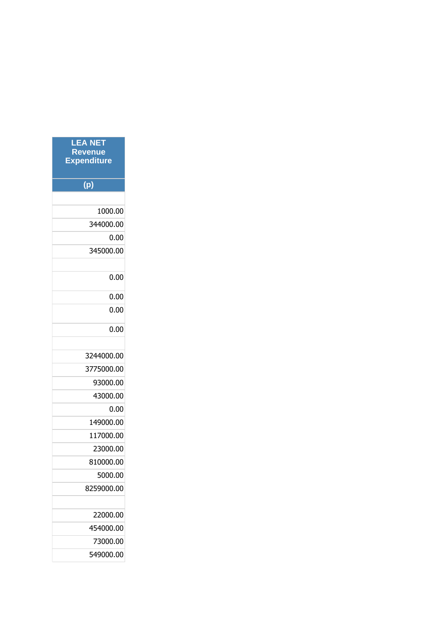| <b>LEA NET</b><br><b>Revenue</b><br><b>Expenditure</b> |
|--------------------------------------------------------|
| (p)                                                    |
|                                                        |
| 1000.00                                                |
| 344000.00                                              |
| 0.00                                                   |
| 345000.00                                              |
|                                                        |
| 0.00                                                   |
| 0.00                                                   |
| 0.00                                                   |
| 0.00                                                   |
|                                                        |
| 3244000.00                                             |
| 3775000.00                                             |
| 93000.00                                               |
| 43000.00                                               |
| 0.00                                                   |
| 149000.00                                              |
| 117000.00                                              |
| 23000.00                                               |
| 810000.00                                              |
| 5000.00                                                |
| 8259000.00                                             |
|                                                        |
| 22000.00                                               |
| 454000.00                                              |
| 73000.00                                               |
| 549000.00                                              |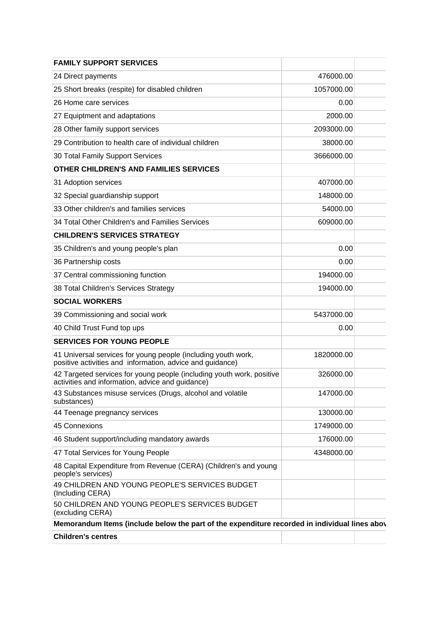| <b>FAMILY SUPPORT SERVICES</b>                                                                                             |            |
|----------------------------------------------------------------------------------------------------------------------------|------------|
| 24 Direct payments                                                                                                         | 476000.00  |
| 25 Short breaks (respite) for disabled children                                                                            | 1057000.00 |
| 26 Home care services                                                                                                      | 0.00       |
| 27 Equiptment and adaptations                                                                                              | 2000.00    |
| 28 Other family support services                                                                                           | 2093000.00 |
| 29 Contribution to health care of individual children                                                                      | 38000.00   |
| 30 Total Family Support Services                                                                                           | 3666000.00 |
| OTHER CHILDREN'S AND FAMILIES SERVICES                                                                                     |            |
| 31 Adoption services                                                                                                       | 407000.00  |
| 32 Special guardianship support                                                                                            | 148000.00  |
| 33 Other children's and families services                                                                                  | 54000.00   |
| 34 Total Other Children's and Families Services                                                                            | 609000.00  |
| <b>CHILDREN'S SERVICES STRATEGY</b>                                                                                        |            |
| 35 Children's and young people's plan                                                                                      | 0.00       |
| 36 Partnership costs                                                                                                       | 0.00       |
| 37 Central commissioning function                                                                                          | 194000.00  |
| 38 Total Children's Services Strategy                                                                                      | 194000.00  |
| <b>SOCIAL WORKERS</b>                                                                                                      |            |
| 39 Commissioning and social work                                                                                           | 5437000.00 |
| 40 Child Trust Fund top ups                                                                                                | 0.00       |
| <b>SERVICES FOR YOUNG PEOPLE</b>                                                                                           |            |
| 41 Universal services for young people (including youth work,<br>positive activities and information, advice and guidance) | 1820000.00 |
| 42 Targeted services for young people (including youth work, positive<br>activities and information, advice and guidance)  | 326000.00  |
| 43 Substances misuse services (Drugs, alcohol and volatile<br>substances)                                                  | 147000.00  |
| 44 Teenage pregnancy services                                                                                              | 130000.00  |
| 45 Connexions                                                                                                              | 1749000.00 |
| 46 Student support/including mandatory awards                                                                              | 176000.00  |
| 47 Total Services for Young People                                                                                         | 4348000.00 |
| 48 Capital Expenditure from Revenue (CERA) (Children's and young<br>people's services)                                     |            |
| 49 CHILDREN AND YOUNG PEOPLE'S SERVICES BUDGET<br>(Including CERA)                                                         |            |
| 50 CHILDREN AND YOUNG PEOPLE'S SERVICES BUDGET<br>(excluding CERA)                                                         |            |
| Memorandum Items (include below the part of the expenditure recorded in individual lines abov                              |            |
| <b>Children's centres</b>                                                                                                  |            |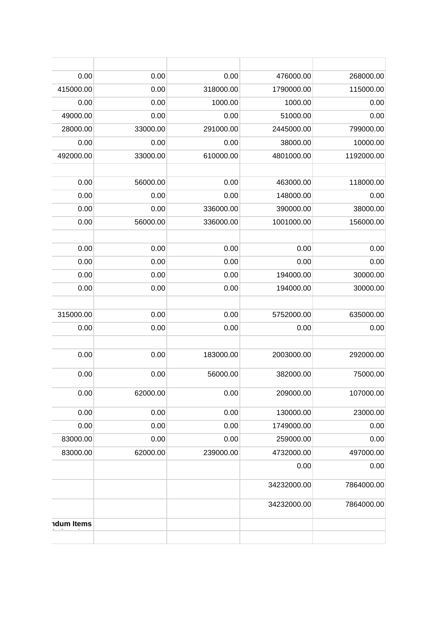| 268000.00  | 476000.00   | 0.00      | 0.00     | 0.00              |
|------------|-------------|-----------|----------|-------------------|
| 115000.00  | 1790000.00  | 318000.00 | 0.00     | 415000.00         |
| 0.00       | 1000.00     | 1000.00   | 0.00     | 0.00              |
| 0.00       | 51000.00    | 0.00      | 0.00     | 49000.00          |
| 799000.00  | 2445000.00  | 291000.00 | 33000.00 | 28000.00          |
| 10000.00   | 38000.00    | 0.00      | 0.00     | 0.00              |
| 1192000.00 | 4801000.00  | 610000.00 | 33000.00 | 492000.00         |
| 118000.00  | 463000.00   | 0.00      | 56000.00 | 0.00              |
| 0.00       | 148000.00   | 0.00      | 0.00     | 0.00              |
| 38000.00   | 390000.00   | 336000.00 | 0.00     | 0.00              |
| 156000.00  | 1001000.00  | 336000.00 | 56000.00 | 0.00              |
| 0.00       | 0.00        | 0.00      | 0.00     | 0.00              |
| 0.00       | 0.00        | 0.00      | 0.00     | 0.00              |
| 30000.00   | 194000.00   | 0.00      | 0.00     | 0.00              |
| 30000.00   | 194000.00   | 0.00      | 0.00     | 0.00              |
| 635000.00  | 5752000.00  | 0.00      | 0.00     | 315000.00         |
| 0.00       | 0.00        | 0.00      | 0.00     | 0.00              |
| 292000.00  | 2003000.00  | 183000.00 | 0.00     | 0.00              |
| 75000.00   | 382000.00   | 56000.00  | 0.00     | 0.00              |
| 107000.00  | 209000.00   | 0.00      | 62000.00 | 0.00              |
| 23000.00   | 130000.00   | 0.00      | 0.00     | 0.00              |
| 0.00       | 1749000.00  | 0.00      | 0.00     | 0.00              |
| 0.00       | 259000.00   | 0.00      | 0.00     | 83000.00          |
| 497000.00  | 4732000.00  | 239000.00 | 62000.00 | 83000.00          |
| 0.00       | 0.00        |           |          |                   |
| 7864000.00 | 34232000.00 |           |          |                   |
| 7864000.00 | 34232000.00 |           |          |                   |
|            |             |           |          | <b>ndum Items</b> |
|            |             |           |          |                   |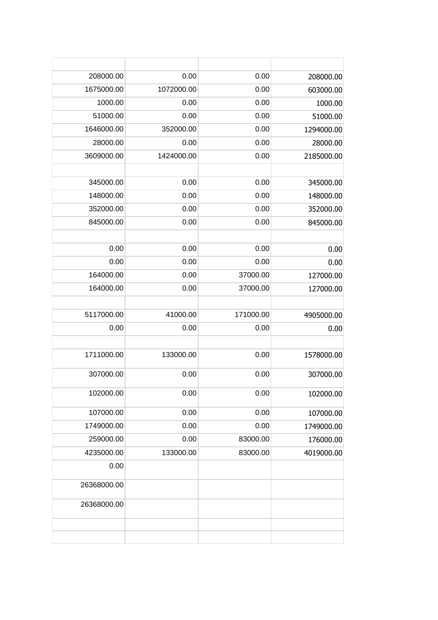| 208000.00   | 0.00       | 0.00      | 208000.00  |
|-------------|------------|-----------|------------|
| 1675000.00  | 1072000.00 | 0.00      | 603000.00  |
| 1000.00     | 0.00       | 0.00      |            |
| 51000.00    | 0.00       | 0.00      | 1000.00    |
| 1646000.00  | 352000.00  |           | 51000.00   |
|             |            | 0.00      | 1294000.00 |
| 28000.00    | 0.00       | 0.00      | 28000.00   |
| 3609000.00  | 1424000.00 | 0.00      | 2185000.00 |
|             |            |           |            |
| 345000.00   | 0.00       | 0.00      | 345000.00  |
| 148000.00   | 0.00       | 0.00      | 148000.00  |
| 352000.00   | 0.00       | 0.00      | 352000.00  |
| 845000.00   | 0.00       | 0.00      | 845000.00  |
|             |            |           |            |
| 0.00        | 0.00       | 0.00      | 0.00       |
| 0.00        | 0.00       | 0.00      | 0.00       |
| 164000.00   | 0.00       | 37000.00  | 127000.00  |
| 164000.00   | 0.00       | 37000.00  | 127000.00  |
|             |            |           |            |
| 5117000.00  | 41000.00   | 171000.00 | 4905000.00 |
| 0.00        | 0.00       | 0.00      | 0.00       |
|             |            |           |            |
| 1711000.00  | 133000.00  | 0.00      | 1578000.00 |
| 307000.00   | 0.00       | 0.00      | 307000.00  |
| 102000.00   | 0.00       | 0.00      | 102000.00  |
| 107000.00   | 0.00       | 0.00      | 107000.00  |
| 1749000.00  | 0.00       | 0.00      | 1749000.00 |
| 259000.00   | 0.00       | 83000.00  | 176000.00  |
| 4235000.00  | 133000.00  | 83000.00  | 4019000.00 |
| 0.00        |            |           |            |
| 26368000.00 |            |           |            |
| 26368000.00 |            |           |            |
|             |            |           |            |
|             |            |           |            |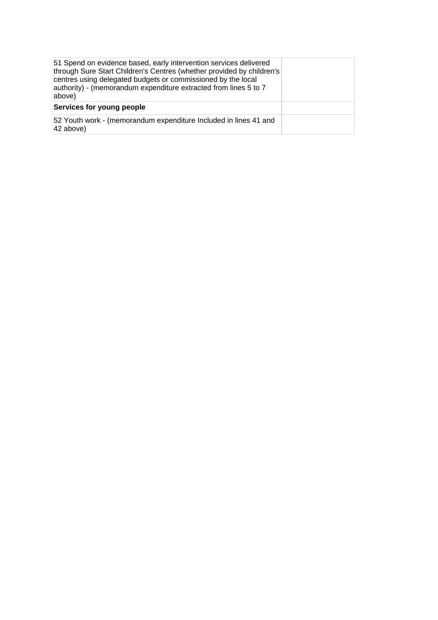| 51 Spend on evidence based, early intervention services delivered<br>through Sure Start Children's Centres (whether provided by children's<br>centres using delegated budgets or commissioned by the local<br>authority) - (memorandum expenditure extracted from lines 5 to 7<br>above) |  |
|------------------------------------------------------------------------------------------------------------------------------------------------------------------------------------------------------------------------------------------------------------------------------------------|--|
| Services for young people                                                                                                                                                                                                                                                                |  |
| 52 Youth work - (memorandum expenditure Included in lines 41 and<br>42 above)                                                                                                                                                                                                            |  |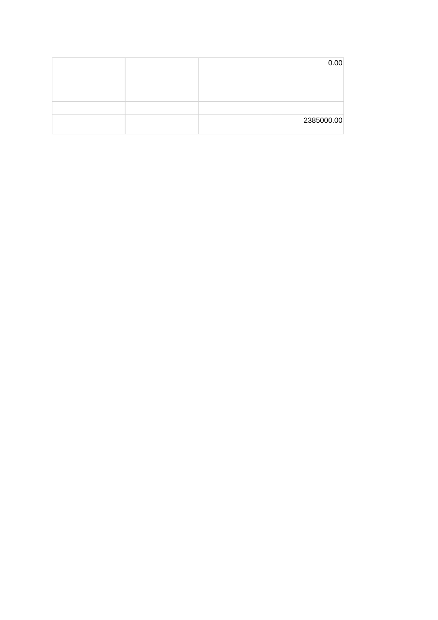|  | 0.00       |
|--|------------|
|  |            |
|  |            |
|  |            |
|  |            |
|  | 2385000.00 |
|  |            |